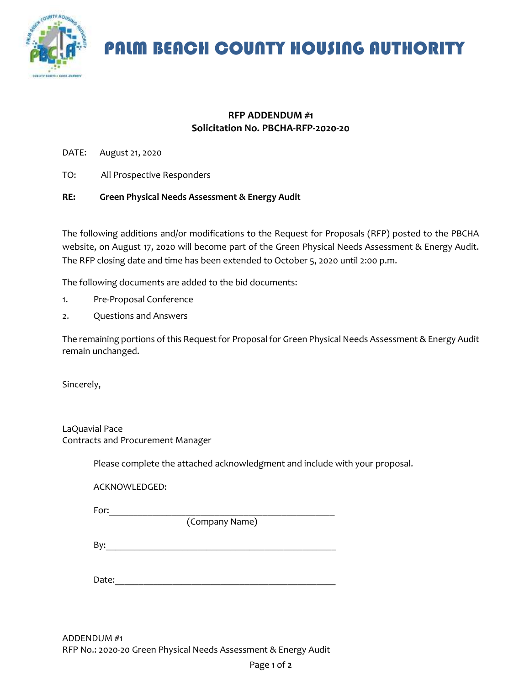

PALM BEACH COUNTY HOUSING AUTHORITY

## **RFP ADDENDUM #1 Solicitation No. PBCHA-RFP-2020-20**

DATE: August 21, 2020

TO: All Prospective Responders

#### **RE: Green Physical Needs Assessment & Energy Audit**

The following additions and/or modifications to the Request for Proposals (RFP) posted to the PBCHA website, on August 17, 2020 will become part of the Green Physical Needs Assessment & Energy Audit. The RFP closing date and time has been extended to October 5, 2020 until 2:00 p.m.

The following documents are added to the bid documents:

- 1. Pre-Proposal Conference
- 2. Questions and Answers

The remaining portions of this Request for Proposal for Green Physical Needs Assessment & Energy Audit remain unchanged.

Sincerely,

LaQuavial Pace Contracts and Procurement Manager

Please complete the attached acknowledgment and include with your proposal.

ACKNOWLEDGED:

For:\_\_\_\_\_\_\_\_\_\_\_\_\_\_\_\_\_\_\_\_\_\_\_\_\_\_\_\_\_\_\_\_\_\_\_\_\_\_\_\_\_\_\_\_\_\_\_

(Company Name)

By:\_\_\_\_\_\_\_\_\_\_\_\_\_\_\_\_\_\_\_\_\_\_\_\_\_\_\_\_\_\_\_\_\_\_\_\_\_\_\_\_\_\_\_\_\_\_\_\_

Date: